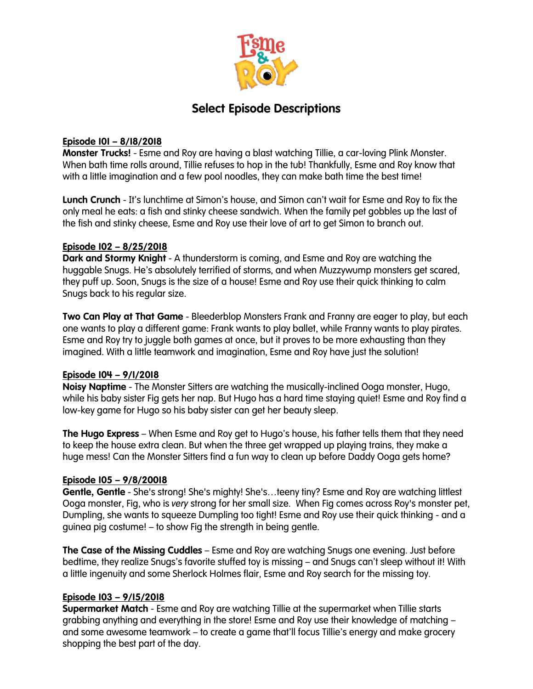

# **Select Episode Descriptions**

# **Episode 101 – 8/18/2018**

**Monster Trucks!** - Esme and Roy are having a blast watching Tillie, a car-loving Plink Monster. When bath time rolls around, Tillie refuses to hop in the tub! Thankfully, Esme and Roy know that with a little imagination and a few pool noodles, they can make bath time the best time!

**Lunch Crunch** - It's lunchtime at Simon's house, and Simon can't wait for Esme and Roy to fix the only meal he eats: a fish and stinky cheese sandwich. When the family pet gobbles up the last of the fish and stinky cheese, Esme and Roy use their love of art to get Simon to branch out.

# **Episode 102 – 8/25/2018**

**Dark and Stormy Knight** - A thunderstorm is coming, and Esme and Roy are watching the huggable Snugs. He's absolutely terrified of storms, and when Muzzywump monsters get scared, they puff up. Soon, Snugs is the size of a house! Esme and Roy use their quick thinking to calm Snugs back to his regular size.

**Two Can Play at That Game** - Bleederblop Monsters Frank and Franny are eager to play, but each one wants to play a different game: Frank wants to play ballet, while Franny wants to play pirates. Esme and Roy try to juggle both games at once, but it proves to be more exhausting than they imagined. With a little teamwork and imagination, Esme and Roy have just the solution!

### **Episode 104 – 9/1/2018**

**Noisy Naptime** - The Monster Sitters are watching the musically-inclined Ooga monster, Hugo, while his baby sister Fig gets her nap. But Hugo has a hard time staying quiet! Esme and Roy find a low-key game for Hugo so his baby sister can get her beauty sleep.

**The Hugo Express** – When Esme and Roy get to Hugo's house, his father tells them that they need to keep the house extra clean. But when the three get wrapped up playing trains, they make a huge mess! Can the Monster Sitters find a fun way to clean up before Daddy Ooga gets home?

### **Episode 105 – 9/8/20018**

**Gentle, Gentle** - She's strong! She's mighty! She's…teeny tiny? Esme and Roy are watching littlest Ooga monster, Fig, who is *very* strong for her small size. When Fig comes across Roy's monster pet, Dumpling, she wants to squeeze Dumpling too tight! Esme and Roy use their quick thinking - and a guinea pig costume! – to show Fig the strength in being gentle.

**The Case of the Missing Cuddles** – Esme and Roy are watching Snugs one evening. Just before bedtime, they realize Snugs's favorite stuffed toy is missing – and Snugs can't sleep without it! With a little ingenuity and some Sherlock Holmes flair, Esme and Roy search for the missing toy.

### **Episode 103 – 9/15/2018**

**Supermarket Match** - Esme and Roy are watching Tillie at the supermarket when Tillie starts grabbing anything and everything in the store! Esme and Roy use their knowledge of matching – and some awesome teamwork – to create a game that'll focus Tillie's energy and make grocery shopping the best part of the day.